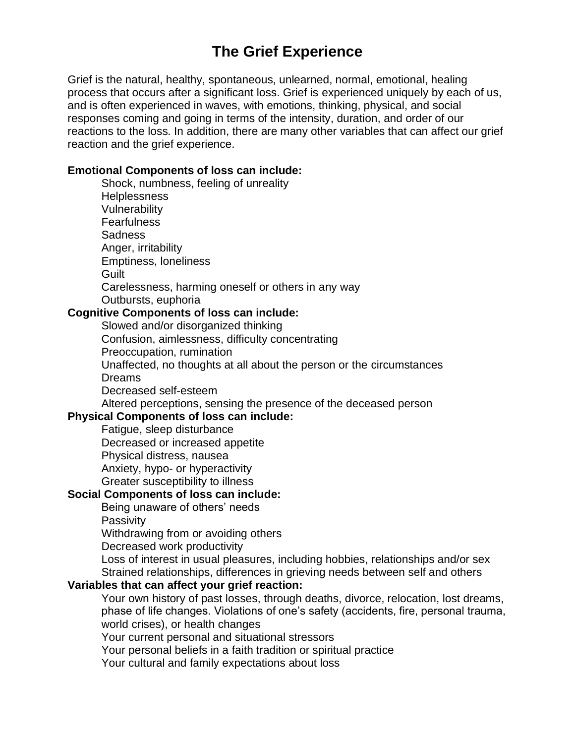# **The Grief Experience**

Grief is the natural, healthy, spontaneous, unlearned, normal, emotional, healing process that occurs after a significant loss. Grief is experienced uniquely by each of us, and is often experienced in waves, with emotions, thinking, physical, and social responses coming and going in terms of the intensity, duration, and order of our reactions to the loss. In addition, there are many other variables that can affect our grief reaction and the grief experience.

#### **Emotional Components of loss can include:**

Shock, numbness, feeling of unreality **Helplessness** Vulnerability **Fearfulness Sadness** Anger, irritability Emptiness, loneliness **Guilt** Carelessness, harming oneself or others in any way Outbursts, euphoria

# **Cognitive Components of loss can include:**

Slowed and/or disorganized thinking Confusion, aimlessness, difficulty concentrating Preoccupation, rumination Unaffected, no thoughts at all about the person or the circumstances Dreams Decreased self-esteem Altered perceptions, sensing the presence of the deceased person

## **Physical Components of loss can include:**

Fatigue, sleep [disturbance](https://griefcounselor.org/2017/11/09/taking-care-of-yourself/)

Decreased or increased appetite

Physical distress, nausea

Anxiety, hypo- or hyperactivity

Greater susceptibility to illness

#### **Social Components of loss can include:**

Being unaware of others' needs

**Passivity** 

Withdrawing from or avoiding others

Decreased work productivity

Loss of interest in usual pleasures, including hobbies, relationships and/or sex Strained relationships, differences in grieving needs between self and others

# **Variables that can affect your grief reaction:**

Your own history of past losses, through deaths, divorce, relocation, lost dreams, phase of life changes. Violations of one's safety (accidents, fire, personal trauma, world crises), or health changes

Your current personal and situational stressors

Your personal beliefs in a faith tradition or spiritual practice

Your cultural and family expectations about loss